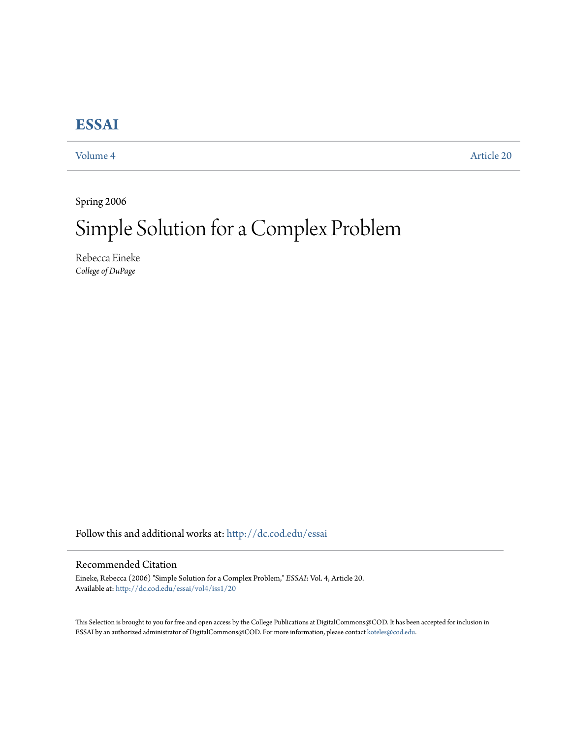# **[ESSAI](http://dc.cod.edu/essai?utm_source=dc.cod.edu%2Fessai%2Fvol4%2Fiss1%2F20&utm_medium=PDF&utm_campaign=PDFCoverPages)**

[Volume 4](http://dc.cod.edu/essai/vol4?utm_source=dc.cod.edu%2Fessai%2Fvol4%2Fiss1%2F20&utm_medium=PDF&utm_campaign=PDFCoverPages) [Article 20](http://dc.cod.edu/essai/vol4/iss1/20?utm_source=dc.cod.edu%2Fessai%2Fvol4%2Fiss1%2F20&utm_medium=PDF&utm_campaign=PDFCoverPages)

Spring 2006

# Simple Solution for a Complex Problem

Rebecca Eineke *College of DuPage*

Follow this and additional works at: [http://dc.cod.edu/essai](http://dc.cod.edu/essai?utm_source=dc.cod.edu%2Fessai%2Fvol4%2Fiss1%2F20&utm_medium=PDF&utm_campaign=PDFCoverPages)

#### Recommended Citation

Eineke, Rebecca (2006) "Simple Solution for a Complex Problem," *ESSAI*: Vol. 4, Article 20. Available at: [http://dc.cod.edu/essai/vol4/iss1/20](http://dc.cod.edu/essai/vol4/iss1/20?utm_source=dc.cod.edu%2Fessai%2Fvol4%2Fiss1%2F20&utm_medium=PDF&utm_campaign=PDFCoverPages)

This Selection is brought to you for free and open access by the College Publications at DigitalCommons@COD. It has been accepted for inclusion in ESSAI by an authorized administrator of DigitalCommons@COD. For more information, please contact [koteles@cod.edu](mailto:koteles@cod.edu).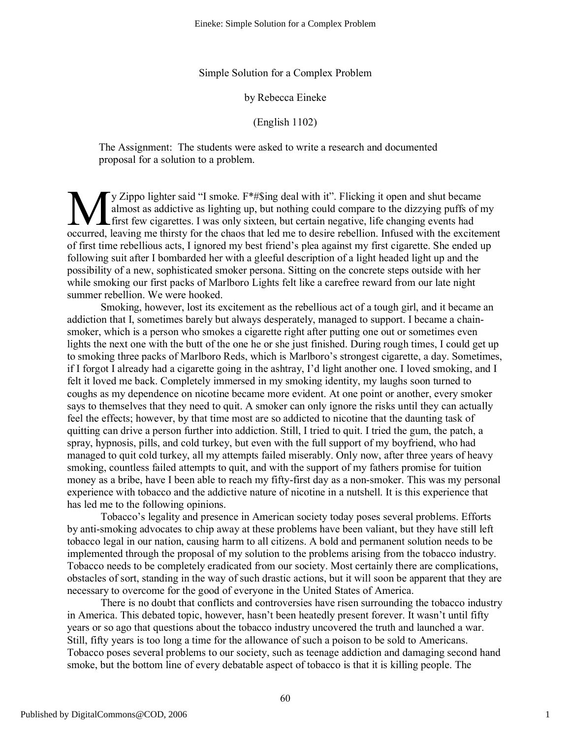#### Simple Solution for a Complex Problem

#### by Rebecca Eineke

(English 1102)

The Assignment: The students were asked to write a research and documented proposal for a solution to a problem.

 $\Gamma$ y Zippo lighter said "I smoke.  $F^*$ #\$ing deal with it". Flicking it open and shut became almost as addictive as lighting up, but nothing could compare to the dizzying puffs of my first few cigarettes. I was only sixteen, but certain negative, life changing events had occurred, leaving me thirsty for the chaos that led me to desire rebellion. Infused with the excitement of first time rebellious acts, I ignored my best friend's plea against my first cigarette. She ended up following suit after I bombarded her with a gleeful description of a light headed light up and the possibility of a new, sophisticated smoker persona. Sitting on the concrete steps outside with her while smoking our first packs of Marlboro Lights felt like a carefree reward from our late night summer rebellion. We were hooked. M<sub>ocured</sub>

Smoking, however, lost its excitement as the rebellious act of a tough girl, and it became an addiction that I, sometimes barely but always desperately, managed to support. I became a chainsmoker, which is a person who smokes a cigarette right after putting one out or sometimes even lights the next one with the butt of the one he or she just finished. During rough times, I could get up to smoking three packs of Marlboro Reds, which is Marlboro's strongest cigarette, a day. Sometimes, if I forgot I already had a cigarette going in the ashtray, I'd light another one. I loved smoking, and I felt it loved me back. Completely immersed in my smoking identity, my laughs soon turned to coughs as my dependence on nicotine became more evident. At one point or another, every smoker says to themselves that they need to quit. A smoker can only ignore the risks until they can actually feel the effects; however, by that time most are so addicted to nicotine that the daunting task of quitting can drive a person further into addiction. Still, I tried to quit. I tried the gum, the patch, a spray, hypnosis, pills, and cold turkey, but even with the full support of my boyfriend, who had managed to quit cold turkey, all my attempts failed miserably. Only now, after three years of heavy smoking, countless failed attempts to quit, and with the support of my fathers promise for tuition money as a bribe, have I been able to reach my fifty-first day as a non-smoker. This was my personal experience with tobacco and the addictive nature of nicotine in a nutshell. It is this experience that has led me to the following opinions.

Tobacco's legality and presence in American society today poses several problems. Efforts by anti-smoking advocates to chip away at these problems have been valiant, but they have still left tobacco legal in our nation, causing harm to all citizens. A bold and permanent solution needs to be implemented through the proposal of my solution to the problems arising from the tobacco industry. Tobacco needs to be completely eradicated from our society. Most certainly there are complications, obstacles of sort, standing in the way of such drastic actions, but it will soon be apparent that they are necessary to overcome for the good of everyone in the United States of America.

There is no doubt that conflicts and controversies have risen surrounding the tobacco industry in America. This debated topic, however, hasn't been heatedly present forever. It wasn't until fifty years or so ago that questions about the tobacco industry uncovered the truth and launched a war. Still, fifty years is too long a time for the allowance of such a poison to be sold to Americans. Tobacco poses several problems to our society, such as teenage addiction and damaging second hand smoke, but the bottom line of every debatable aspect of tobacco is that it is killing people. The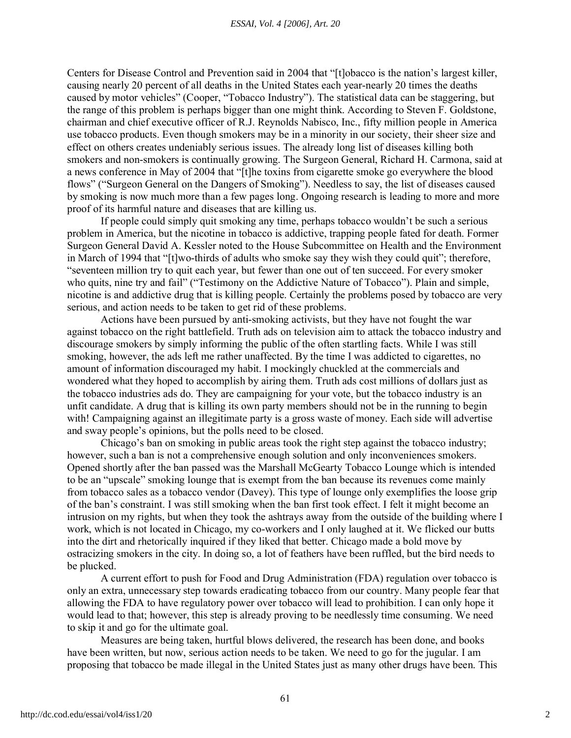Centers for Disease Control and Prevention said in 2004 that "[t]obacco is the nation's largest killer, causing nearly 20 percent of all deaths in the United States each year-nearly 20 times the deaths caused by motor vehicles" (Cooper, "Tobacco Industry"). The statistical data can be staggering, but the range of this problem is perhaps bigger than one might think. According to Steven F. Goldstone, chairman and chief executive officer of R.J. Reynolds Nabisco, Inc., fifty million people in America use tobacco products. Even though smokers may be in a minority in our society, their sheer size and effect on others creates undeniably serious issues. The already long list of diseases killing both smokers and non-smokers is continually growing. The Surgeon General, Richard H. Carmona, said at a news conference in May of 2004 that "[t]he toxins from cigarette smoke go everywhere the blood flows" ("Surgeon General on the Dangers of Smoking"). Needless to say, the list of diseases caused by smoking is now much more than a few pages long. Ongoing research is leading to more and more proof of its harmful nature and diseases that are killing us.

If people could simply quit smoking any time, perhaps tobacco wouldn't be such a serious problem in America, but the nicotine in tobacco is addictive, trapping people fated for death. Former Surgeon General David A. Kessler noted to the House Subcommittee on Health and the Environment in March of 1994 that "[t]wo-thirds of adults who smoke say they wish they could quit"; therefore, "seventeen million try to quit each year, but fewer than one out of ten succeed. For every smoker who quits, nine try and fail" ("Testimony on the Addictive Nature of Tobacco"). Plain and simple, nicotine is and addictive drug that is killing people. Certainly the problems posed by tobacco are very serious, and action needs to be taken to get rid of these problems.

Actions have been pursued by anti-smoking activists, but they have not fought the war against tobacco on the right battlefield. Truth ads on television aim to attack the tobacco industry and discourage smokers by simply informing the public of the often startling facts. While I was still smoking, however, the ads left me rather unaffected. By the time I was addicted to cigarettes, no amount of information discouraged my habit. I mockingly chuckled at the commercials and wondered what they hoped to accomplish by airing them. Truth ads cost millions of dollars just as the tobacco industries ads do. They are campaigning for your vote, but the tobacco industry is an unfit candidate. A drug that is killing its own party members should not be in the running to begin with! Campaigning against an illegitimate party is a gross waste of money. Each side will advertise and sway people's opinions, but the polls need to be closed.

Chicago's ban on smoking in public areas took the right step against the tobacco industry; however, such a ban is not a comprehensive enough solution and only inconveniences smokers. Opened shortly after the ban passed was the Marshall McGearty Tobacco Lounge which is intended to be an "upscale" smoking lounge that is exempt from the ban because its revenues come mainly from tobacco sales as a tobacco vendor (Davey). This type of lounge only exemplifies the loose grip of the ban's constraint. I was still smoking when the ban first took effect. I felt it might become an intrusion on my rights, but when they took the ashtrays away from the outside of the building where I work, which is not located in Chicago, my co-workers and I only laughed at it. We flicked our butts into the dirt and rhetorically inquired if they liked that better. Chicago made a bold move by ostracizing smokers in the city. In doing so, a lot of feathers have been ruffled, but the bird needs to be plucked.

A current effort to push for Food and Drug Administration (FDA) regulation over tobacco is only an extra, unnecessary step towards eradicating tobacco from our country. Many people fear that allowing the FDA to have regulatory power over tobacco will lead to prohibition. I can only hope it would lead to that; however, this step is already proving to be needlessly time consuming. We need to skip it and go for the ultimate goal.

Measures are being taken, hurtful blows delivered, the research has been done, and books have been written, but now, serious action needs to be taken. We need to go for the jugular. I am proposing that tobacco be made illegal in the United States just as many other drugs have been. This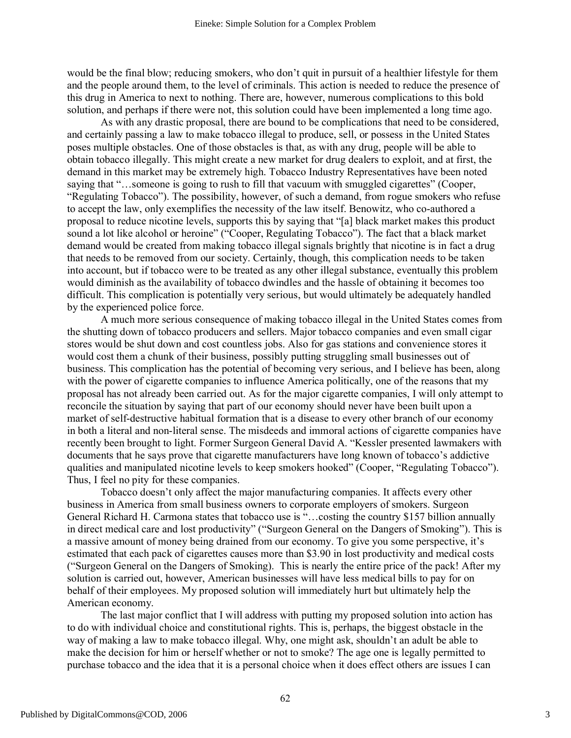would be the final blow; reducing smokers, who don't quit in pursuit of a healthier lifestyle for them and the people around them, to the level of criminals. This action is needed to reduce the presence of this drug in America to next to nothing. There are, however, numerous complications to this bold solution, and perhaps if there were not, this solution could have been implemented a long time ago.

As with any drastic proposal, there are bound to be complications that need to be considered, and certainly passing a law to make tobacco illegal to produce, sell, or possess in the United States poses multiple obstacles. One of those obstacles is that, as with any drug, people will be able to obtain tobacco illegally. This might create a new market for drug dealers to exploit, and at first, the demand in this market may be extremely high. Tobacco Industry Representatives have been noted saying that "…someone is going to rush to fill that vacuum with smuggled cigarettes" (Cooper, "Regulating Tobacco"). The possibility, however, of such a demand, from rogue smokers who refuse to accept the law, only exemplifies the necessity of the law itself. Benowitz, who co-authored a proposal to reduce nicotine levels, supports this by saying that "[a] black market makes this product sound a lot like alcohol or heroine" ("Cooper, Regulating Tobacco"). The fact that a black market demand would be created from making tobacco illegal signals brightly that nicotine is in fact a drug that needs to be removed from our society. Certainly, though, this complication needs to be taken into account, but if tobacco were to be treated as any other illegal substance, eventually this problem would diminish as the availability of tobacco dwindles and the hassle of obtaining it becomes too difficult. This complication is potentially very serious, but would ultimately be adequately handled by the experienced police force.

A much more serious consequence of making tobacco illegal in the United States comes from the shutting down of tobacco producers and sellers. Major tobacco companies and even small cigar stores would be shut down and cost countless jobs. Also for gas stations and convenience stores it would cost them a chunk of their business, possibly putting struggling small businesses out of business. This complication has the potential of becoming very serious, and I believe has been, along with the power of cigarette companies to influence America politically, one of the reasons that my proposal has not already been carried out. As for the major cigarette companies, I will only attempt to reconcile the situation by saying that part of our economy should never have been built upon a market of self-destructive habitual formation that is a disease to every other branch of our economy in both a literal and non-literal sense. The misdeeds and immoral actions of cigarette companies have recently been brought to light. Former Surgeon General David A. "Kessler presented lawmakers with documents that he says prove that cigarette manufacturers have long known of tobacco's addictive qualities and manipulated nicotine levels to keep smokers hooked" (Cooper, "Regulating Tobacco"). Thus, I feel no pity for these companies.

Tobacco doesn't only affect the major manufacturing companies. It affects every other business in America from small business owners to corporate employers of smokers. Surgeon General Richard H. Carmona states that tobacco use is "…costing the country \$157 billion annually in direct medical care and lost productivity" ("Surgeon General on the Dangers of Smoking"). This is a massive amount of money being drained from our economy. To give you some perspective, it's estimated that each pack of cigarettes causes more than \$3.90 in lost productivity and medical costs ("Surgeon General on the Dangers of Smoking). This is nearly the entire price of the pack! After my solution is carried out, however, American businesses will have less medical bills to pay for on behalf of their employees. My proposed solution will immediately hurt but ultimately help the American economy.

The last major conflict that I will address with putting my proposed solution into action has to do with individual choice and constitutional rights. This is, perhaps, the biggest obstacle in the way of making a law to make tobacco illegal. Why, one might ask, shouldn't an adult be able to make the decision for him or herself whether or not to smoke? The age one is legally permitted to purchase tobacco and the idea that it is a personal choice when it does effect others are issues I can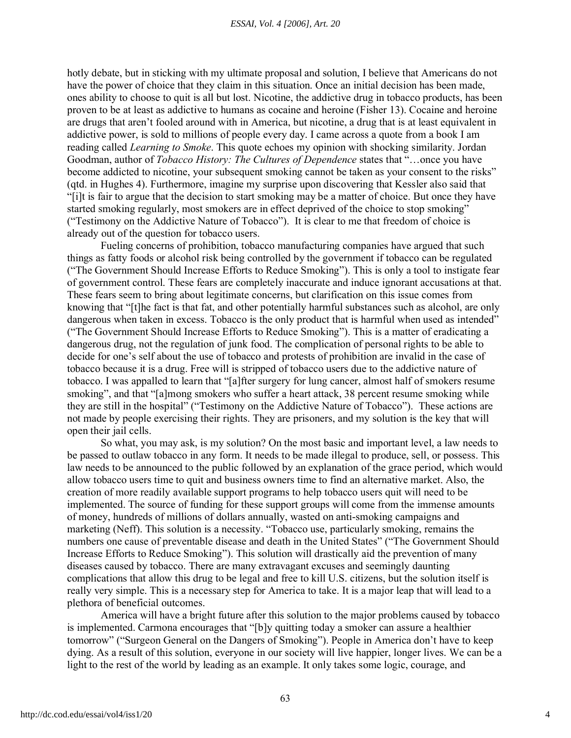hotly debate, but in sticking with my ultimate proposal and solution, I believe that Americans do not have the power of choice that they claim in this situation. Once an initial decision has been made, ones ability to choose to quit is all but lost. Nicotine, the addictive drug in tobacco products, has been proven to be at least as addictive to humans as cocaine and heroine (Fisher 13). Cocaine and heroine are drugs that aren't fooled around with in America, but nicotine, a drug that is at least equivalent in addictive power, is sold to millions of people every day. I came across a quote from a book I am reading called *Learning to Smoke*. This quote echoes my opinion with shocking similarity. Jordan Goodman, author of *Tobacco History: The Cultures of Dependence* states that "…once you have become addicted to nicotine, your subsequent smoking cannot be taken as your consent to the risks" (qtd. in Hughes 4). Furthermore, imagine my surprise upon discovering that Kessler also said that "[i]t is fair to argue that the decision to start smoking may be a matter of choice. But once they have started smoking regularly, most smokers are in effect deprived of the choice to stop smoking" ("Testimony on the Addictive Nature of Tobacco"). It is clear to me that freedom of choice is already out of the question for tobacco users.

Fueling concerns of prohibition, tobacco manufacturing companies have argued that such things as fatty foods or alcohol risk being controlled by the government if tobacco can be regulated ("The Government Should Increase Efforts to Reduce Smoking"). This is only a tool to instigate fear of government control. These fears are completely inaccurate and induce ignorant accusations at that. These fears seem to bring about legitimate concerns, but clarification on this issue comes from knowing that "[t]he fact is that fat, and other potentially harmful substances such as alcohol, are only dangerous when taken in excess. Tobacco is the only product that is harmful when used as intended" ("The Government Should Increase Efforts to Reduce Smoking"). This is a matter of eradicating a dangerous drug, not the regulation of junk food. The complication of personal rights to be able to decide for one's self about the use of tobacco and protests of prohibition are invalid in the case of tobacco because it is a drug. Free will is stripped of tobacco users due to the addictive nature of tobacco. I was appalled to learn that "[a]fter surgery for lung cancer, almost half of smokers resume smoking", and that "[a]mong smokers who suffer a heart attack, 38 percent resume smoking while they are still in the hospital" ("Testimony on the Addictive Nature of Tobacco"). These actions are not made by people exercising their rights. They are prisoners, and my solution is the key that will open their jail cells.

So what, you may ask, is my solution? On the most basic and important level, a law needs to be passed to outlaw tobacco in any form. It needs to be made illegal to produce, sell, or possess. This law needs to be announced to the public followed by an explanation of the grace period, which would allow tobacco users time to quit and business owners time to find an alternative market. Also, the creation of more readily available support programs to help tobacco users quit will need to be implemented. The source of funding for these support groups will come from the immense amounts of money, hundreds of millions of dollars annually, wasted on anti-smoking campaigns and marketing (Neff). This solution is a necessity. "Tobacco use, particularly smoking, remains the numbers one cause of preventable disease and death in the United States" ("The Government Should Increase Efforts to Reduce Smoking"). This solution will drastically aid the prevention of many diseases caused by tobacco. There are many extravagant excuses and seemingly daunting complications that allow this drug to be legal and free to kill U.S. citizens, but the solution itself is really very simple. This is a necessary step for America to take. It is a major leap that will lead to a plethora of beneficial outcomes.

America will have a bright future after this solution to the major problems caused by tobacco is implemented. Carmona encourages that "[b]y quitting today a smoker can assure a healthier tomorrow" ("Surgeon General on the Dangers of Smoking"). People in America don't have to keep dying. As a result of this solution, everyone in our society will live happier, longer lives. We can be a light to the rest of the world by leading as an example. It only takes some logic, courage, and

4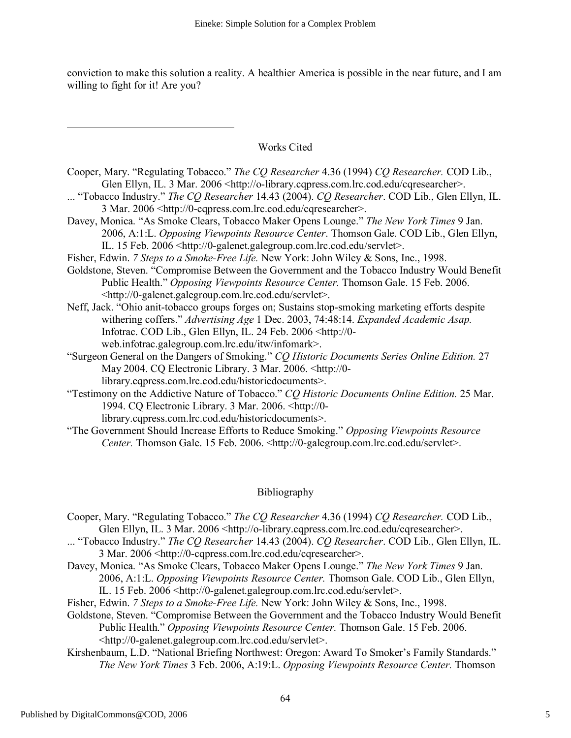conviction to make this solution a reality. A healthier America is possible in the near future, and I am willing to fight for it! Are you?

### Works Cited

- Cooper, Mary. "Regulating Tobacco." *The CQ Researcher* 4.36 (1994) *CQ Researcher.* COD Lib., Glen Ellyn, IL. 3 Mar. 2006 <http://o-library.cqpress.com.lrc.cod.edu/cqresearcher>.
- ... "Tobacco Industry." *The CQ Researcher* 14.43 (2004). *CQ Researcher*. COD Lib., Glen Ellyn, IL. 3 Mar. 2006 <http://0-cqpress.com.lrc.cod.edu/cqresearcher>.
- Davey, Monica. "As Smoke Clears, Tobacco Maker Opens Lounge." *The New York Times* 9 Jan. 2006, A:1:L. *Opposing Viewpoints Resource Center*. Thomson Gale. COD Lib., Glen Ellyn, IL. 15 Feb. 2006 <http://0-galenet.galegroup.com.lrc.cod.edu/servlet>.
- Fisher, Edwin. *7 Steps to a Smoke-Free Life.* New York: John Wiley & Sons, Inc., 1998.
- Goldstone, Steven. "Compromise Between the Government and the Tobacco Industry Would Benefit Public Health." *Opposing Viewpoints Resource Center.* Thomson Gale. 15 Feb. 2006. <http://0-galenet.galegroup.com.lrc.cod.edu/servlet>.
- Neff, Jack. "Ohio anit-tobacco groups forges on; Sustains stop-smoking marketing efforts despite withering coffers." *Advertising Age* 1 Dec. 2003, 74:48:14. *Expanded Academic Asap.* Infotrac. COD Lib., Glen Ellyn, IL. 24 Feb. 2006 <http://0 web.infotrac.galegroup.com.lrc.edu/itw/infomark>.
- "Surgeon General on the Dangers of Smoking." *CQ Historic Documents Series Online Edition.* 27 May 2004. CQ Electronic Library. 3 Mar. 2006. <http://0 library.cqpress.com.lrc.cod.edu/historicdocuments>.
- "Testimony on the Addictive Nature of Tobacco." *CQ Historic Documents Online Edition.* 25 Mar. 1994. CQ Electronic Library. 3 Mar. 2006. <http://0 library.cqpress.com.lrc.cod.edu/historicdocuments>.
- "The Government Should Increase Efforts to Reduce Smoking." *Opposing Viewpoints Resource Center.* Thomson Gale. 15 Feb. 2006. <http://0-galegroup.com.lrc.cod.edu/servlet>.

## Bibliography

- Cooper, Mary. "Regulating Tobacco." *The CQ Researcher* 4.36 (1994) *CQ Researcher.* COD Lib., Glen Ellyn, IL. 3 Mar. 2006 <http://o-library.cqpress.com.lrc.cod.edu/cqresearcher>.
- ... "Tobacco Industry." *The CQ Researcher* 14.43 (2004). *CQ Researcher*. COD Lib., Glen Ellyn, IL. 3 Mar. 2006 <http://0-cqpress.com.lrc.cod.edu/cqresearcher>.
- Davey, Monica. "As Smoke Clears, Tobacco Maker Opens Lounge." *The New York Times* 9 Jan. 2006, A:1:L. *Opposing Viewpoints Resource Center.* Thomson Gale. COD Lib., Glen Ellyn, IL. 15 Feb. 2006 <http://0-galenet.galegroup.com.lrc.cod.edu/servlet>.
- Fisher, Edwin. *7 Steps to a Smoke-Free Life.* New York: John Wiley & Sons, Inc., 1998.
- Goldstone, Steven. "Compromise Between the Government and the Tobacco Industry Would Benefit Public Health." *Opposing Viewpoints Resource Center.* Thomson Gale. 15 Feb. 2006. <http://0-galenet.galegroup.com.lrc.cod.edu/servlet>.
- Kirshenbaum, L.D. "National Briefing Northwest: Oregon: Award To Smoker's Family Standards." *The New York Times* 3 Feb. 2006, A:19:L. *Opposing Viewpoints Resource Center.* Thomson